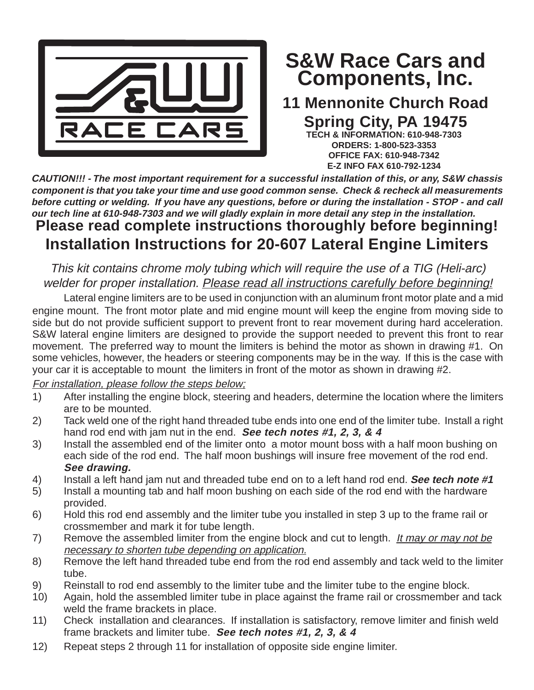

## **Components, Inc. S&W Race Cars and**

## **11 Mennonite Church Road Spring City, PA 19475**

**TECH & INFORMATION: 610-948-7303 ORDERS: 1-800-523-3353 OFFICE FAX: 610-948-7342 E-Z INFO FAX 610-792-1234**

**Please read complete instructions thoroughly before beginning! Installation Instructions for 20-607 Lateral Engine Limiters CAUTION!!! - The most important requirement for a successful installation of this, or any, S&W chassis component is that you take your time and use good common sense. Check & recheck all measurements before cutting or welding. If you have any questions, before or during the installation - STOP - and call our tech line at 610-948-7303 and we will gladly explain in more detail any step in the installation.**

This kit contains chrome moly tubing which will require the use of a TIG (Heli-arc) welder for proper installation. Please read all instructions carefully before beginning!

Lateral engine limiters are to be used in conjunction with an aluminum front motor plate and a mid engine mount. The front motor plate and mid engine mount will keep the engine from moving side to side but do not provide sufficient support to prevent front to rear movement during hard acceleration. S&W lateral engine limiters are designed to provide the support needed to prevent this front to rear movement. The preferred way to mount the limiters is behind the motor as shown in drawing #1. On some vehicles, however, the headers or steering components may be in the way. If this is the case with your car it is acceptable to mount the limiters in front of the motor as shown in drawing #2.

For installation, please follow the steps below;

- 1) After installing the engine block, steering and headers, determine the location where the limiters are to be mounted.
- 2) Tack weld one of the right hand threaded tube ends into one end of the limiter tube. Install a right hand rod end with jam nut in the end. **See tech notes #1, 2, 3, & 4**
- 3) Install the assembled end of the limiter onto a motor mount boss with a half moon bushing on each side of the rod end. The half moon bushings will insure free movement of the rod end. **See drawing.**
- 4) Install a left hand jam nut and threaded tube end on to a left hand rod end. **See tech note #1**
- 5) Install a mounting tab and half moon bushing on each side of the rod end with the hardware provided.
- 6) Hold this rod end assembly and the limiter tube you installed in step 3 up to the frame rail or crossmember and mark it for tube length.
- 7) Remove the assembled limiter from the engine block and cut to length. It may or may not be necessary to shorten tube depending on application.
- 8) Remove the left hand threaded tube end from the rod end assembly and tack weld to the limiter tube.
- 9) Reinstall to rod end assembly to the limiter tube and the limiter tube to the engine block.
- 10) Again, hold the assembled limiter tube in place against the frame rail or crossmember and tack weld the frame brackets in place.
- 11) Check installation and clearances. If installation is satisfactory, remove limiter and finish weld frame brackets and limiter tube. **See tech notes #1, 2, 3, & 4**
- 12) Repeat steps 2 through 11 for installation of opposite side engine limiter.